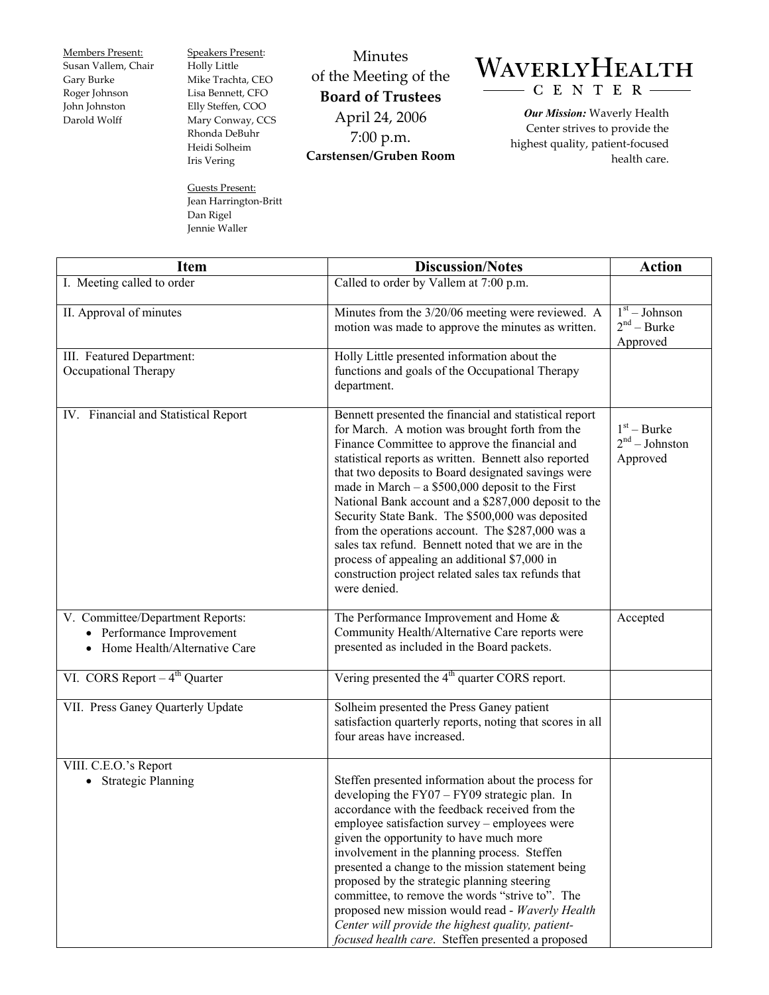Members Present: Susan Vallem, Chair Gary Burke Roger Johnson John Johnston Darold Wolff

Speakers Present: Holly Little Mike Trachta, CEO Lisa Bennett, CFO Elly Steffen, COO Mary Conway, CCS Rhonda DeBuhr Heidi Solheim Iris Vering

Guests Present: Jean Harrington-Britt Dan Rigel Jennie Waller

Minutes of the Meeting of the **Board of Trustees**  April 24, 2006 7:00 p.m. **Carstensen/Gruben Room** 

## WAVERLYHEALTH  $-C E N T E R$

*Our Mission:* Waverly Health Center strives to provide the highest quality, patient-focused health care.

| <b>Item</b>                                                                                     | <b>Discussion/Notes</b>                                                                                                                                                                                                                                                                                                                                                                                                                                                                                                                                                                                                                                                       | <b>Action</b>                                 |
|-------------------------------------------------------------------------------------------------|-------------------------------------------------------------------------------------------------------------------------------------------------------------------------------------------------------------------------------------------------------------------------------------------------------------------------------------------------------------------------------------------------------------------------------------------------------------------------------------------------------------------------------------------------------------------------------------------------------------------------------------------------------------------------------|-----------------------------------------------|
| I. Meeting called to order                                                                      | Called to order by Vallem at 7:00 p.m.                                                                                                                                                                                                                                                                                                                                                                                                                                                                                                                                                                                                                                        |                                               |
| II. Approval of minutes                                                                         | Minutes from the 3/20/06 meeting were reviewed. A<br>motion was made to approve the minutes as written.                                                                                                                                                                                                                                                                                                                                                                                                                                                                                                                                                                       | $1st - Johnson$<br>$2nd - Burke$<br>Approved  |
| III. Featured Department:<br>Occupational Therapy                                               | Holly Little presented information about the<br>functions and goals of the Occupational Therapy<br>department.                                                                                                                                                                                                                                                                                                                                                                                                                                                                                                                                                                |                                               |
| IV. Financial and Statistical Report                                                            | Bennett presented the financial and statistical report<br>for March. A motion was brought forth from the<br>Finance Committee to approve the financial and<br>statistical reports as written. Bennett also reported<br>that two deposits to Board designated savings were<br>made in March $- a$ \$500,000 deposit to the First<br>National Bank account and a \$287,000 deposit to the<br>Security State Bank. The \$500,000 was deposited<br>from the operations account. The \$287,000 was a<br>sales tax refund. Bennett noted that we are in the<br>process of appealing an additional \$7,000 in<br>construction project related sales tax refunds that<br>were denied. | $1st - Burke$<br>$2nd - Johnston$<br>Approved |
| V. Committee/Department Reports:<br>• Performance Improvement<br>• Home Health/Alternative Care | The Performance Improvement and Home &<br>Community Health/Alternative Care reports were<br>presented as included in the Board packets.                                                                                                                                                                                                                                                                                                                                                                                                                                                                                                                                       | Accepted                                      |
| VI. CORS Report $-4^{th}$ Quarter                                                               | Vering presented the 4 <sup>th</sup> quarter CORS report.                                                                                                                                                                                                                                                                                                                                                                                                                                                                                                                                                                                                                     |                                               |
| VII. Press Ganey Quarterly Update                                                               | Solheim presented the Press Ganey patient<br>satisfaction quarterly reports, noting that scores in all<br>four areas have increased.                                                                                                                                                                                                                                                                                                                                                                                                                                                                                                                                          |                                               |
| VIII. C.E.O.'s Report<br><b>Strategic Planning</b>                                              | Steffen presented information about the process for<br>developing the $FY07 - FY09$ strategic plan. In<br>accordance with the feedback received from the<br>employee satisfaction survey – employees were<br>given the opportunity to have much more<br>involvement in the planning process. Steffen<br>presented a change to the mission statement being<br>proposed by the strategic planning steering<br>committee, to remove the words "strive to". The<br>proposed new mission would read - Waverly Health<br>Center will provide the highest quality, patient-<br>focused health care. Steffen presented a proposed                                                     |                                               |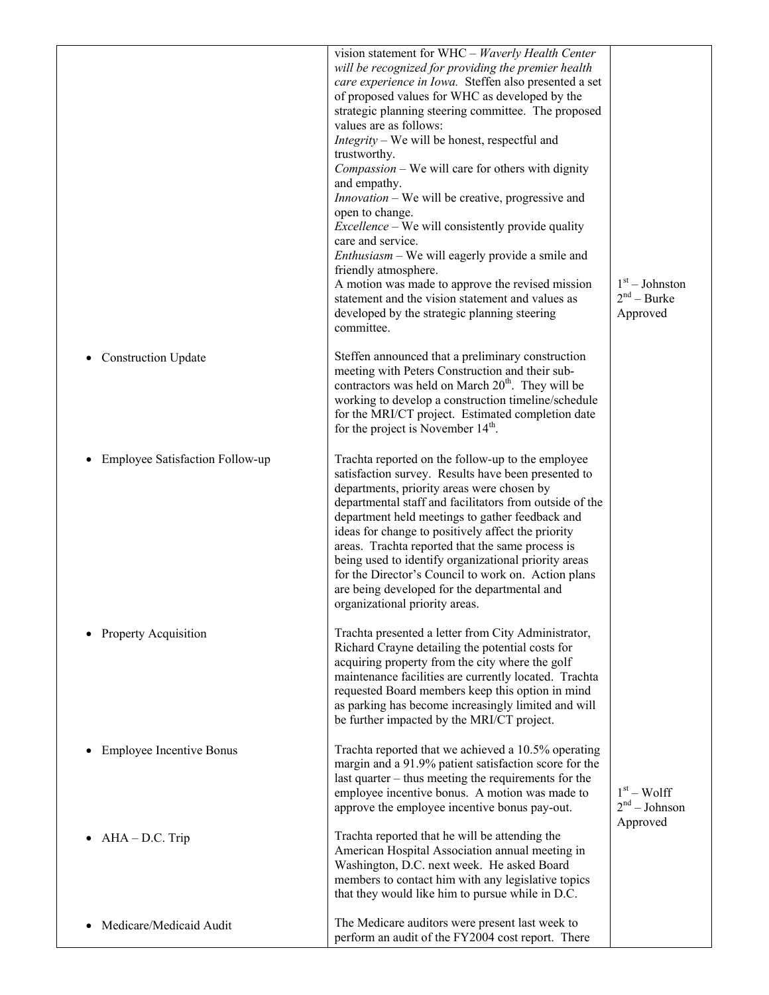|                                 | vision statement for WHC - Waverly Health Center<br>will be recognized for providing the premier health<br>care experience in Iowa. Steffen also presented a set<br>of proposed values for WHC as developed by the<br>strategic planning steering committee. The proposed<br>values are as follows:<br><i>Integrity</i> – We will be honest, respectful and<br>trustworthy.<br>Compassion – We will care for others with dignity<br>and empathy.<br>Innovation - We will be creative, progressive and<br>open to change.<br><i>Excellence</i> – We will consistently provide quality<br>care and service.<br><i>Enthusiasm</i> – We will eagerly provide a smile and<br>friendly atmosphere.<br>A motion was made to approve the revised mission<br>statement and the vision statement and values as<br>developed by the strategic planning steering<br>committee. | $1st - Johnston$<br>$2nd - Burke$<br>Approved |
|---------------------------------|--------------------------------------------------------------------------------------------------------------------------------------------------------------------------------------------------------------------------------------------------------------------------------------------------------------------------------------------------------------------------------------------------------------------------------------------------------------------------------------------------------------------------------------------------------------------------------------------------------------------------------------------------------------------------------------------------------------------------------------------------------------------------------------------------------------------------------------------------------------------|-----------------------------------------------|
| • Construction Update           | Steffen announced that a preliminary construction<br>meeting with Peters Construction and their sub-<br>contractors was held on March 20 <sup>th</sup> . They will be<br>working to develop a construction timeline/schedule<br>for the MRI/CT project. Estimated completion date<br>for the project is November $14th$ .                                                                                                                                                                                                                                                                                                                                                                                                                                                                                                                                          |                                               |
| Employee Satisfaction Follow-up | Trachta reported on the follow-up to the employee<br>satisfaction survey. Results have been presented to<br>departments, priority areas were chosen by<br>departmental staff and facilitators from outside of the<br>department held meetings to gather feedback and<br>ideas for change to positively affect the priority<br>areas. Trachta reported that the same process is<br>being used to identify organizational priority areas<br>for the Director's Council to work on. Action plans<br>are being developed for the departmental and<br>organizational priority areas.                                                                                                                                                                                                                                                                                    |                                               |
| <b>Property Acquisition</b>     | Trachta presented a letter from City Administrator,<br>Richard Crayne detailing the potential costs for<br>acquiring property from the city where the golf<br>maintenance facilities are currently located. Trachta<br>requested Board members keep this option in mind<br>as parking has become increasingly limited and will<br>be further impacted by the MRI/CT project.                                                                                                                                                                                                                                                                                                                                                                                                                                                                                       |                                               |
| <b>Employee Incentive Bonus</b> | Trachta reported that we achieved a 10.5% operating<br>margin and a 91.9% patient satisfaction score for the<br>last quarter – thus meeting the requirements for the<br>employee incentive bonus. A motion was made to<br>approve the employee incentive bonus pay-out.                                                                                                                                                                                                                                                                                                                                                                                                                                                                                                                                                                                            | $1st - Wolf$<br>$2nd - Johnson$               |
| $\bullet$ AHA – D.C. Trip       | Trachta reported that he will be attending the<br>American Hospital Association annual meeting in<br>Washington, D.C. next week. He asked Board<br>members to contact him with any legislative topics<br>that they would like him to pursue while in D.C.                                                                                                                                                                                                                                                                                                                                                                                                                                                                                                                                                                                                          | Approved                                      |
| Medicare/Medicaid Audit         | The Medicare auditors were present last week to<br>perform an audit of the FY2004 cost report. There                                                                                                                                                                                                                                                                                                                                                                                                                                                                                                                                                                                                                                                                                                                                                               |                                               |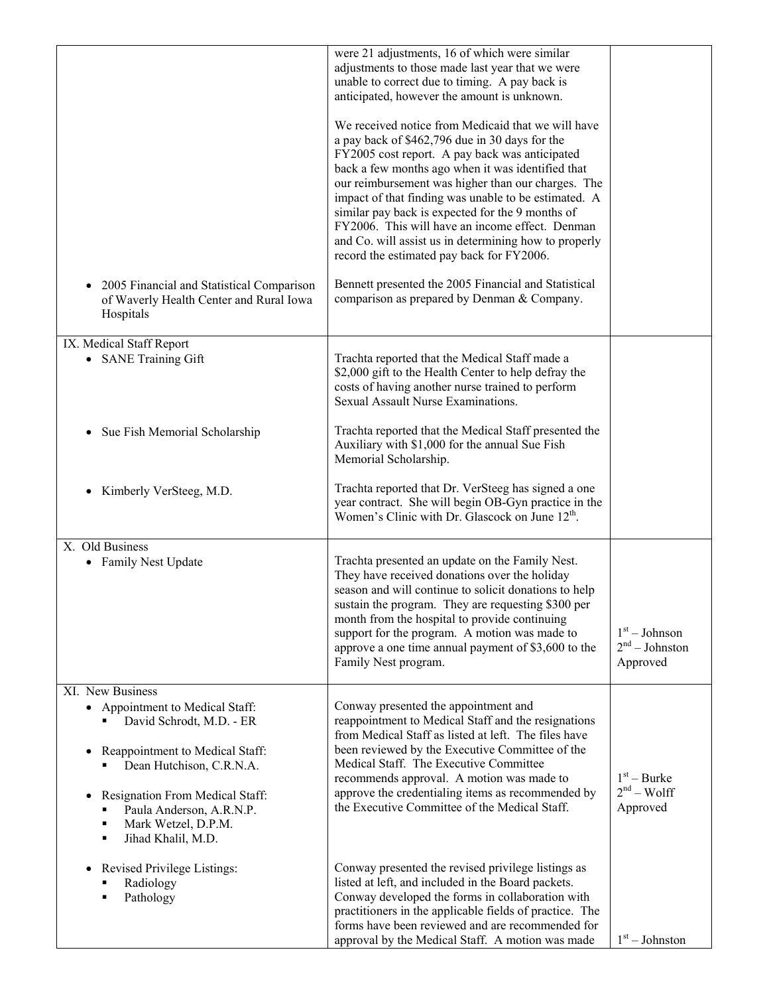|                                                                                                                                                                                                                                                                                   | were 21 adjustments, 16 of which were similar<br>adjustments to those made last year that we were<br>unable to correct due to timing. A pay back is<br>anticipated, however the amount is unknown.<br>We received notice from Medicaid that we will have<br>a pay back of \$462,796 due in 30 days for the<br>FY2005 cost report. A pay back was anticipated<br>back a few months ago when it was identified that<br>our reimbursement was higher than our charges. The<br>impact of that finding was unable to be estimated. A<br>similar pay back is expected for the 9 months of<br>FY2006. This will have an income effect. Denman<br>and Co. will assist us in determining how to properly<br>record the estimated pay back for FY2006. |                                                 |
|-----------------------------------------------------------------------------------------------------------------------------------------------------------------------------------------------------------------------------------------------------------------------------------|----------------------------------------------------------------------------------------------------------------------------------------------------------------------------------------------------------------------------------------------------------------------------------------------------------------------------------------------------------------------------------------------------------------------------------------------------------------------------------------------------------------------------------------------------------------------------------------------------------------------------------------------------------------------------------------------------------------------------------------------|-------------------------------------------------|
| 2005 Financial and Statistical Comparison<br>of Waverly Health Center and Rural Iowa<br>Hospitals                                                                                                                                                                                 | Bennett presented the 2005 Financial and Statistical<br>comparison as prepared by Denman & Company.                                                                                                                                                                                                                                                                                                                                                                                                                                                                                                                                                                                                                                          |                                                 |
| IX. Medical Staff Report<br>• SANE Training Gift                                                                                                                                                                                                                                  | Trachta reported that the Medical Staff made a<br>\$2,000 gift to the Health Center to help defray the<br>costs of having another nurse trained to perform<br>Sexual Assault Nurse Examinations.                                                                                                                                                                                                                                                                                                                                                                                                                                                                                                                                             |                                                 |
| Sue Fish Memorial Scholarship                                                                                                                                                                                                                                                     | Trachta reported that the Medical Staff presented the<br>Auxiliary with \$1,000 for the annual Sue Fish<br>Memorial Scholarship.                                                                                                                                                                                                                                                                                                                                                                                                                                                                                                                                                                                                             |                                                 |
| Kimberly VerSteeg, M.D.                                                                                                                                                                                                                                                           | Trachta reported that Dr. VerSteeg has signed a one<br>year contract. She will begin OB-Gyn practice in the<br>Women's Clinic with Dr. Glascock on June $12th$ .                                                                                                                                                                                                                                                                                                                                                                                                                                                                                                                                                                             |                                                 |
| X. Old Business<br>• Family Nest Update                                                                                                                                                                                                                                           | Trachta presented an update on the Family Nest.<br>They have received donations over the holiday<br>season and will continue to solicit donations to help<br>sustain the program. They are requesting \$300 per<br>month from the hospital to provide continuing<br>support for the program. A motion was made to<br>approve a one time annual payment of \$3,600 to the<br>Family Nest program.                                                                                                                                                                                                                                                                                                                                             | $1st - Johnson$<br>$2nd - Johnston$<br>Approved |
| XI. New Business<br>• Appointment to Medical Staff:<br>David Schrodt, M.D. - ER<br>Reappointment to Medical Staff:<br>٠<br>Dean Hutchison, C.R.N.A.<br>Resignation From Medical Staff:<br>$\bullet$<br>Paula Anderson, A.R.N.P.<br>Mark Wetzel, D.P.M.<br>Jihad Khalil, M.D.<br>Е | Conway presented the appointment and<br>reappointment to Medical Staff and the resignations<br>from Medical Staff as listed at left. The files have<br>been reviewed by the Executive Committee of the<br>Medical Staff. The Executive Committee<br>recommends approval. A motion was made to<br>approve the credentialing items as recommended by<br>the Executive Committee of the Medical Staff.                                                                                                                                                                                                                                                                                                                                          | $1st - Burke$<br>$2nd - Wolf$<br>Approved       |
| Revised Privilege Listings:<br>$\bullet$<br>Radiology<br>Pathology<br>٠                                                                                                                                                                                                           | Conway presented the revised privilege listings as<br>listed at left, and included in the Board packets.<br>Conway developed the forms in collaboration with<br>practitioners in the applicable fields of practice. The<br>forms have been reviewed and are recommended for<br>approval by the Medical Staff. A motion was made                                                                                                                                                                                                                                                                                                                                                                                                              | $1st - Johnston$                                |